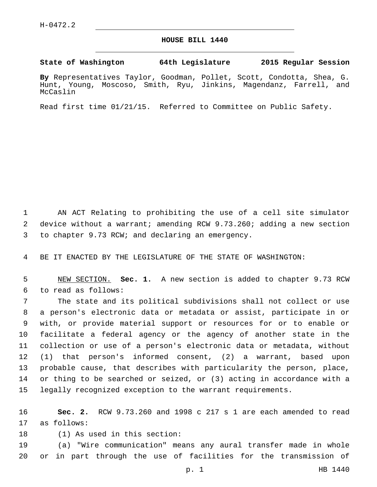## **HOUSE BILL 1440**

**State of Washington 64th Legislature 2015 Regular Session**

**By** Representatives Taylor, Goodman, Pollet, Scott, Condotta, Shea, G. Hunt, Young, Moscoso, Smith, Ryu, Jinkins, Magendanz, Farrell, and McCaslin

Read first time 01/21/15. Referred to Committee on Public Safety.

1 AN ACT Relating to prohibiting the use of a cell site simulator 2 device without a warrant; amending RCW 9.73.260; adding a new section 3 to chapter 9.73 RCW; and declaring an emergency.

4 BE IT ENACTED BY THE LEGISLATURE OF THE STATE OF WASHINGTON:

5 NEW SECTION. **Sec. 1.** A new section is added to chapter 9.73 RCW 6 to read as follows:

 The state and its political subdivisions shall not collect or use a person's electronic data or metadata or assist, participate in or with, or provide material support or resources for or to enable or facilitate a federal agency or the agency of another state in the collection or use of a person's electronic data or metadata, without (1) that person's informed consent, (2) a warrant, based upon probable cause, that describes with particularity the person, place, or thing to be searched or seized, or (3) acting in accordance with a legally recognized exception to the warrant requirements.

16 **Sec. 2.** RCW 9.73.260 and 1998 c 217 s 1 are each amended to read 17 as follows:

18 (1) As used in this section:

19 (a) "Wire communication" means any aural transfer made in whole 20 or in part through the use of facilities for the transmission of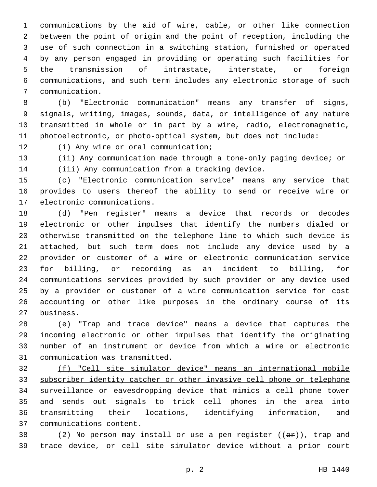communications by the aid of wire, cable, or other like connection between the point of origin and the point of reception, including the use of such connection in a switching station, furnished or operated by any person engaged in providing or operating such facilities for the transmission of intrastate, interstate, or foreign communications, and such term includes any electronic storage of such communication.7

 (b) "Electronic communication" means any transfer of signs, signals, writing, images, sounds, data, or intelligence of any nature transmitted in whole or in part by a wire, radio, electromagnetic, photoelectronic, or photo-optical system, but does not include:

12 (i) Any wire or oral communication;

 (ii) Any communication made through a tone-only paging device; or (iii) Any communication from a tracking device.

 (c) "Electronic communication service" means any service that provides to users thereof the ability to send or receive wire or 17 electronic communications.

 (d) "Pen register" means a device that records or decodes electronic or other impulses that identify the numbers dialed or otherwise transmitted on the telephone line to which such device is attached, but such term does not include any device used by a provider or customer of a wire or electronic communication service for billing, or recording as an incident to billing, for communications services provided by such provider or any device used by a provider or customer of a wire communication service for cost accounting or other like purposes in the ordinary course of its business.27

 (e) "Trap and trace device" means a device that captures the incoming electronic or other impulses that identify the originating number of an instrument or device from which a wire or electronic 31 communication was transmitted.

 (f) "Cell site simulator device" means an international mobile subscriber identity catcher or other invasive cell phone or telephone surveillance or eavesdropping device that mimics a cell phone tower 35 and sends out signals to trick cell phones in the area into 36 transmitting their locations, identifying information, and communications content.

38 (2) No person may install or use a pen register  $((\theta \cdot \hat{r}))_L$  trap and trace device, or cell site simulator device without a prior court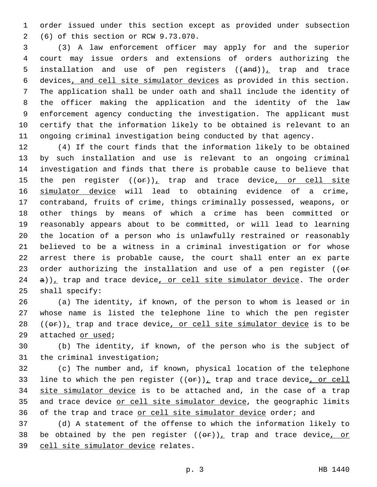1 order issued under this section except as provided under subsection (6) of this section or RCW 9.73.070.2

 (3) A law enforcement officer may apply for and the superior court may issue orders and extensions of orders authorizing the 5 installation and use of pen registers  $((and))_L$  trap and trace devices, and cell site simulator devices as provided in this section. The application shall be under oath and shall include the identity of the officer making the application and the identity of the law enforcement agency conducting the investigation. The applicant must certify that the information likely to be obtained is relevant to an ongoing criminal investigation being conducted by that agency.

 (4) If the court finds that the information likely to be obtained by such installation and use is relevant to an ongoing criminal investigation and finds that there is probable cause to believe that 15 the pen register  $((eF))_t$  trap and trace device, or cell site 16 simulator device will lead to obtaining evidence of a crime, contraband, fruits of crime, things criminally possessed, weapons, or other things by means of which a crime has been committed or reasonably appears about to be committed, or will lead to learning the location of a person who is unlawfully restrained or reasonably believed to be a witness in a criminal investigation or for whose arrest there is probable cause, the court shall enter an ex parte 23 order authorizing the installation and use of a pen register ((or a)), trap and trace device, or cell site simulator device. The order 25 shall specify:

 (a) The identity, if known, of the person to whom is leased or in whose name is listed the telephone line to which the pen register  $((\theta \cdot \hat{r}))$ <sub>1</sub> trap and trace device, or cell site simulator device is to be 29 attached or used;

30 (b) The identity, if known, of the person who is the subject of 31 the criminal investigation;

32 (c) The number and, if known, physical location of the telephone 33 line to which the pen register  $((\theta \hat{r}))_L$  trap and trace device, or cell 34 site simulator device is to be attached and, in the case of a trap 35 and trace device or cell site simulator device, the geographic limits 36 of the trap and trace or cell site simulator device order; and

37 (d) A statement of the offense to which the information likely to 38 be obtained by the pen register  $((\theta \cdot \mathbf{r}))$ , trap and trace device, or 39 cell site simulator device relates.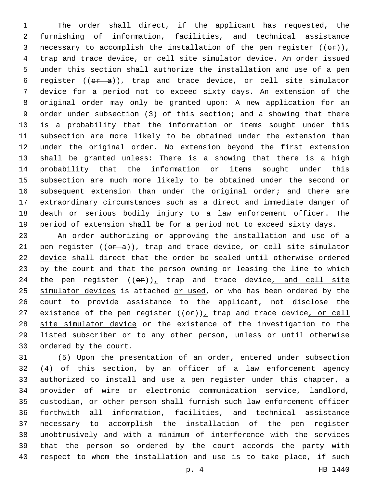The order shall direct, if the applicant has requested, the furnishing of information, facilities, and technical assistance 3 necessary to accomplish the installation of the pen register  $((\theta \hat{r}))_T$ 4 trap and trace device, or cell site simulator device. An order issued under this section shall authorize the installation and use of a pen 6 register  $((or a))_t$  trap and trace device, or cell site simulator device for a period not to exceed sixty days. An extension of the original order may only be granted upon: A new application for an order under subsection (3) of this section; and a showing that there is a probability that the information or items sought under this subsection are more likely to be obtained under the extension than under the original order. No extension beyond the first extension shall be granted unless: There is a showing that there is a high probability that the information or items sought under this subsection are much more likely to be obtained under the second or 16 subsequent extension than under the original order; and there are extraordinary circumstances such as a direct and immediate danger of death or serious bodily injury to a law enforcement officer. The period of extension shall be for a period not to exceed sixty days.

 An order authorizing or approving the installation and use of a 21 pen register  $((\theta \cdot \hat{a}))_L$  trap and trace device, or cell site simulator device shall direct that the order be sealed until otherwise ordered by the court and that the person owning or leasing the line to which 24 the pen register  $((\Theta \cdot \mathbf{r}))_L$  trap and trace device, and cell site 25 simulator devices is attached or used, or who has been ordered by the court to provide assistance to the applicant, not disclose the 27 existence of the pen register  $((\theta \cdot \mathbf{r}))_+$  trap and trace device, or cell 28 site simulator device or the existence of the investigation to the listed subscriber or to any other person, unless or until otherwise 30 ordered by the court.

 (5) Upon the presentation of an order, entered under subsection (4) of this section, by an officer of a law enforcement agency authorized to install and use a pen register under this chapter, a provider of wire or electronic communication service, landlord, custodian, or other person shall furnish such law enforcement officer forthwith all information, facilities, and technical assistance necessary to accomplish the installation of the pen register unobtrusively and with a minimum of interference with the services that the person so ordered by the court accords the party with respect to whom the installation and use is to take place, if such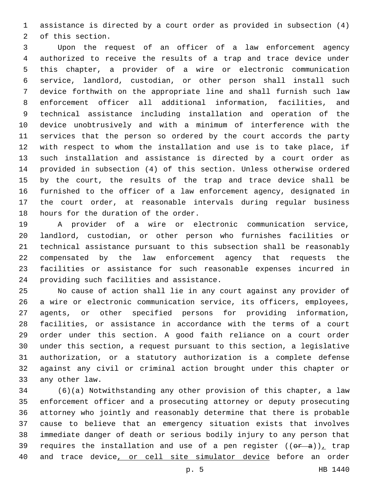assistance is directed by a court order as provided in subsection (4) 2 of this section.

 Upon the request of an officer of a law enforcement agency authorized to receive the results of a trap and trace device under this chapter, a provider of a wire or electronic communication service, landlord, custodian, or other person shall install such device forthwith on the appropriate line and shall furnish such law enforcement officer all additional information, facilities, and technical assistance including installation and operation of the device unobtrusively and with a minimum of interference with the services that the person so ordered by the court accords the party with respect to whom the installation and use is to take place, if such installation and assistance is directed by a court order as provided in subsection (4) of this section. Unless otherwise ordered by the court, the results of the trap and trace device shall be furnished to the officer of a law enforcement agency, designated in the court order, at reasonable intervals during regular business 18 hours for the duration of the order.

 A provider of a wire or electronic communication service, landlord, custodian, or other person who furnishes facilities or technical assistance pursuant to this subsection shall be reasonably compensated by the law enforcement agency that requests the facilities or assistance for such reasonable expenses incurred in 24 providing such facilities and assistance.

 No cause of action shall lie in any court against any provider of a wire or electronic communication service, its officers, employees, agents, or other specified persons for providing information, facilities, or assistance in accordance with the terms of a court order under this section. A good faith reliance on a court order under this section, a request pursuant to this section, a legislative authorization, or a statutory authorization is a complete defense against any civil or criminal action brought under this chapter or 33 any other law.

 (6)(a) Notwithstanding any other provision of this chapter, a law enforcement officer and a prosecuting attorney or deputy prosecuting attorney who jointly and reasonably determine that there is probable cause to believe that an emergency situation exists that involves immediate danger of death or serious bodily injury to any person that 39 requires the installation and use of a pen register  $((\theta \cdot \hat{a}))_T$  trap 40 and trace device, or cell site simulator device before an order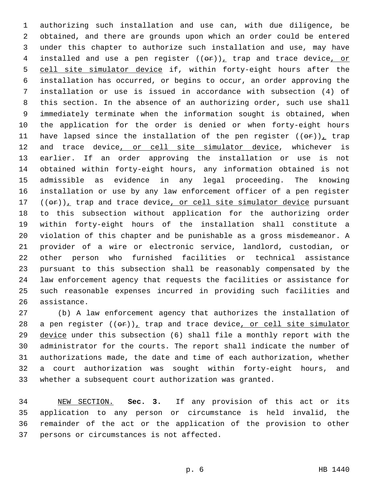authorizing such installation and use can, with due diligence, be obtained, and there are grounds upon which an order could be entered under this chapter to authorize such installation and use, may have 4 installed and use a pen register  $((\theta \hat{r}))_L$  trap and trace device, or cell site simulator device if, within forty-eight hours after the installation has occurred, or begins to occur, an order approving the installation or use is issued in accordance with subsection (4) of this section. In the absence of an authorizing order, such use shall immediately terminate when the information sought is obtained, when the application for the order is denied or when forty-eight hours 11 have lapsed since the installation of the pen register  $((eF))_t$  trap 12 and trace device, or cell site simulator device, whichever is earlier. If an order approving the installation or use is not obtained within forty-eight hours, any information obtained is not admissible as evidence in any legal proceeding. The knowing installation or use by any law enforcement officer of a pen register  $((\theta \cdot \mathbf{r}))$ <sub>1</sub> trap and trace device, or cell site simulator device pursuant to this subsection without application for the authorizing order within forty-eight hours of the installation shall constitute a violation of this chapter and be punishable as a gross misdemeanor. A provider of a wire or electronic service, landlord, custodian, or other person who furnished facilities or technical assistance pursuant to this subsection shall be reasonably compensated by the law enforcement agency that requests the facilities or assistance for such reasonable expenses incurred in providing such facilities and 26 assistance.

 (b) A law enforcement agency that authorizes the installation of 28 a pen register  $((\theta \hat{r}))_L$  trap and trace device, or cell site simulator device under this subsection (6) shall file a monthly report with the administrator for the courts. The report shall indicate the number of authorizations made, the date and time of each authorization, whether a court authorization was sought within forty-eight hours, and whether a subsequent court authorization was granted.

 NEW SECTION. **Sec. 3.** If any provision of this act or its application to any person or circumstance is held invalid, the remainder of the act or the application of the provision to other persons or circumstances is not affected.